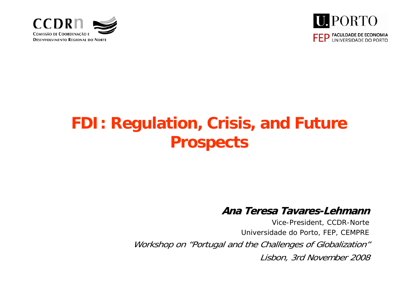



# **FDI: Regulation, Crisis, and Future Prospects**

#### **Ana Teresa Tavares Ana Teresa Tavares-Lehmann Lehmann**

*Vice-President, CCDR-Norte Universidade do Porto, FEP, CEMPRE* Workshop on "Portugal and the Challenges of Globalization" Lisbon, 3rd November 2008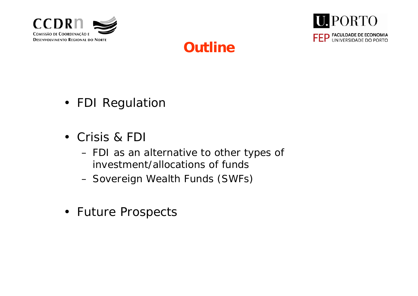





- FDI Regulatior
- Crisis & FD
	- FDI as an alternative to other types of investment/allocations of funds
	- Sovereign Wealth Funds (SWFs)
- Future Prospects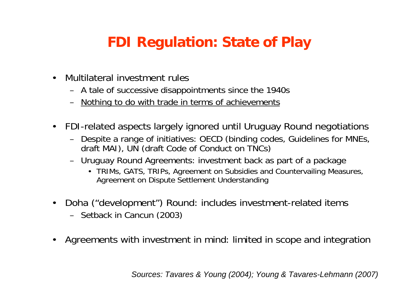## **FDI Regulation: State of Play**

- • Multilateral investment rules
	- A tale of successive disappointments since the 1940s
	- Nothing to do with trade in terms of achievements
- $\bullet$  FDI-related aspects largely ignored until Uruguay Round negotiations
	- Despite a range of initiatives: OECD (binding codes, Guidelines for MNEs, draft MAI), UN (draft Code of Conduct on TNCs)
	- Uruguay Round Agreements: investment back as part of a package
		- TRIMs, GATS, TRIPs, Agreement on Subsidies and Countervailing Measures, Agreement on Dispute Settlement Understanding
- • Doha ("development") Round: includes investment-related items
	- Setback in Cancun (2003)
- $\bullet$ Agreements with investment in mind: limited in scope and integration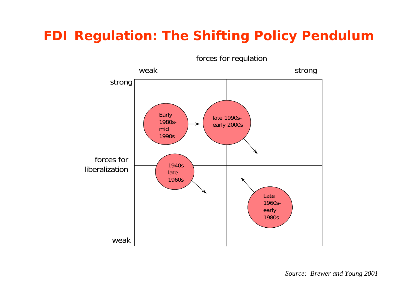#### **FDI Regulation: The Shifting Policy Pendulum**



*Source: Brewer and Young 2001*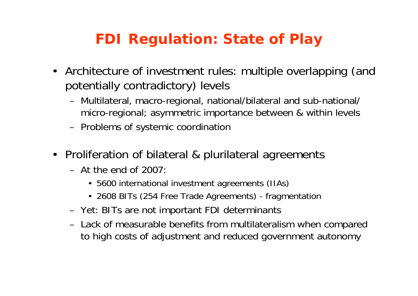## **FDI Regulation: State of Play**

- Architecture of investment rules: multiple overlapping (and potentially contradictory) levels
	- Multilateral, macro-regional, national/bilateral and sub-national/ micro-regional; asymmetric importance between & within levels
	- Problems of systemic coordination
- Proliferation of bilateral & plurilateral agreements
	- At the end of 2007:
		- 5600 international investment agreements (IIAs)
		- 2608 BITs (254 Free Trade Agreements) fragmentation
	- Yet: BITs are not important FDI determinants
	- Lack of measurable benefits from multilateralism when compared to high costs of adjustment and reduced government autonomy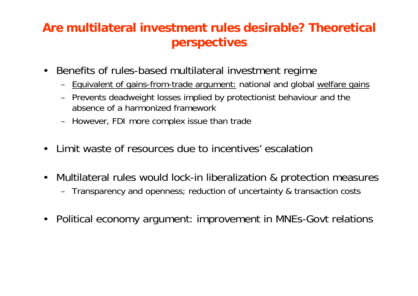#### **Are multilateral investment rules desirable? Theoretical perspectives**

- $\bullet$  Benefits of rules-based multilateral investment regime
	- Equivalent of gains-from-trade argument: national and global welfare gains
	- Prevents deadweight losses implied by protectionist behaviour and the absence of a harmonized framework
	- However, FDI more complex issue than trade
- $\bullet$ Limit waste of resources due to incentives' escalation
- $\bullet$  Multilateral rules would lock-in liberalization & protection measures
	- Transparency and openness; reduction of uncertainty & transaction costs
- $\bullet$ Political economy argument: improvement in MNEs-Govt relations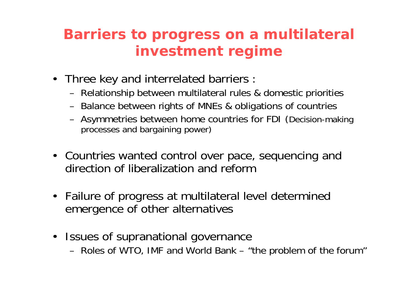### **Barriers to progress on a multilateral investment regime**

- Three key and interrelated barriers
	- Relationship between multilateral rules & domestic priorities
	- Balance between rights of MNEs & obligations of countries
	- Asymmetries between home countries for FDI (Decision-making processes and bargaining power)
- Countries wanted control over pace, sequencing and direction of liberalization and reform
- Failure of progress at multilateral level determined emergence of other alternatives
- Issues of supranational governance
	- Roles of WTO, IMF and World Bank "the problem of the forum"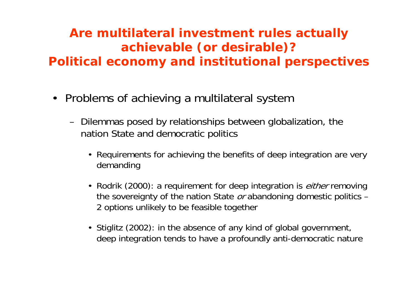#### **Are multilateral investment rules actually achievable (or desirable)? Political economy and institutional perspectives**

- Problems of achieving a multilateral system
	- Dilemmas posed by relationships between globalization, the nation State and democratic politics
		- Requirements for achieving the benefits of deep integration are very demanding
		- Rodrik (2000): a requirement for deep integration is *either* removing the sovereignty of the nation State  $or$  abandoning domestic politics  $-$ 2 options unlikely to be feasible together
		- Stiglitz (2002): in the absence of any kind of global government, deep integration tends to have a profoundly anti-democratic nature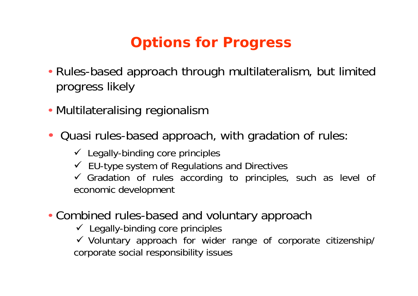## **Options for Progress**

- Rules-based approach through multilateralism, but limited progress likely
- Multilateralising regionalism
- • Quasi rules-based approach, with gradation of rules:
	- $\checkmark$  Legally-binding core principles
	- $\checkmark$  EU-type system of Regulations and Directives

 $\checkmark$  Gradation of rules according to principles, such as level of economic development

• Combined rules-based and voluntary approach

 $\checkmark$  Legally-binding core principles

 $\checkmark$  Voluntary approach for wider range of corporate citizenship/ corporate social responsibility issues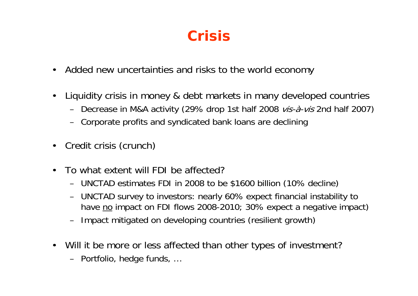## **Crisis**

- •Added new uncertainties and risks to the world economy
- • Liquidity crisis in money & debt markets in many developed countries
	- Decrease in M&A activity (29% drop 1st half 2008 vis-à-vis 2nd half 2007)
	- Corporate profits and syndicated bank loans are declining
- •Credit crisis (crunch)
- • To what extent will FDI be affected?
	- UNCTAD estimates FDI in 2008 to be \$1600 billion (10% decline)
	- UNCTAD survey to investors: nearly 60% expect financial instability to have <u>no</u> impact on FDI flows 2008-2010; 30% expect a negative impact)
	- Impact mitigated on developing countries (resilient growth)
- Will it be more or less affected than other types of investment?
	- Portfolio, hedge funds, …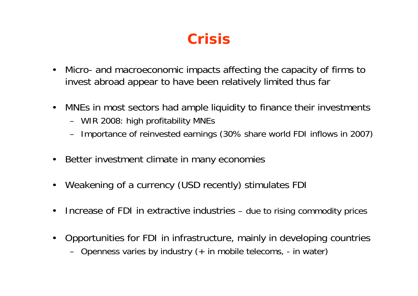## **Crisis**

- • Micro- and macroeconomic impacts affecting the capacity of firms to invest abroad appear to have been relatively limited thus far
- $\bullet$  MNEs in most sectors had ample liquidity to finance their investments
	- WIR 2008: high profitability MNEs
	- Importance of reinvested earnings (30% share world FDI inflows in 2007)
- $\bullet$ Better investment climate in many economies
- •Weakening of a currency (USD recently) stimulates FDI
- •Increase of FDI in extractive industries – due to rising commodity prices
- • Opportunities for FDI in infrastructure, mainly in developing countries
	- Openness varies by industry (+ in mobile telecoms, in water)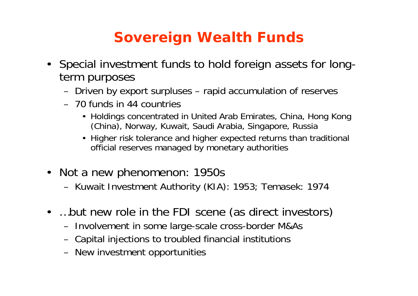## **Sovereign Wealth Funds**

- Special investment funds to hold foreign assets for longterm purposes
	- Driven by export surpluses rapid accumulation of reserves
	- 70 funds in 44 countries
		- Holdings concentrated in United Arab Emirates, China, Hong Kong (China), Norway, Kuwait, Saudi Arabia, Singapore, Russia
		- Higher risk tolerance and higher expected returns than traditional official reserves managed by monetary authorities
- Not a new phenomenon: 1950s
	- Kuwait Investment Authority (KIA): 1953; Temasek: 1974
- ...but new role in the FDI scene (as direct investors)
	- Involvement in some large-scale cross-border M&As
	- Capital injections to troubled financial institutions
	- New investment opportunities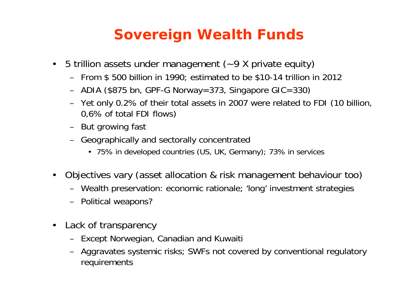#### **Sovereign Wealth Funds**

- $\bullet$  5 trillion assets under management (~9 X private equity)
	- From \$ 500 billion in 1990; estimated to be \$10-14 trillion in 2012
	- ADIA (\$875 bn, GPF-G Norway=373, Singapore GIC=330)
	- Yet only 0.2% of their total assets in 2007 were related to FDI (10 billion, 0,6% of total FDI flows)
	- But growing fast
	- Geographically and sectorally concentrated
		- 75% in developed countries (US, UK, Germany); 73% in services
- • Objectives vary (asset allocation & risk management behaviour too)
	- Wealth preservation: economic rationale; 'long' investment strategies
	- Political weapons?
- $\bullet$  Lack of transparency
	- Except Norwegian, Canadian and Kuwaiti
	- Aggravates systemic risks; SWFs not covered by conventional regulatory requirements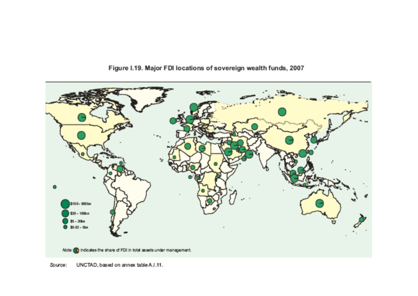

Figure I.19. Major FDI locations of sovereign wealth funds, 2007

Source: UNCTAD, based on annex table A.I.11.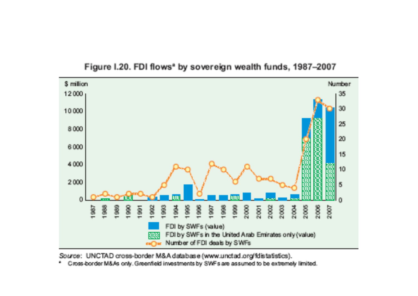

#### Figure I.20. FDI flows<sup>ª</sup> by sovereign wealth funds, 1987-2007

Source: UNCTAD cross-border M&A database (www.unctad.org/fdistatistics).

a. Cross-border M&As only. Greenfield investments by SWFs are assumed to be extremely limited.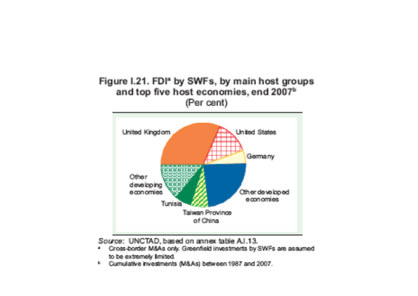#### Figure I.21. FDI<sup>a</sup> by SWFs, by main host groups and top five host economies, end 2007<sup>b</sup> (Per cent)



Source: UNCTAD, based on annex table Al.13.

- \* Cross-border M&As only. Greenfield investments by SWFs are assumed to be extremely limited.
- <sup>b</sup> Cumulative investments (M&As) between 1987 and 2007.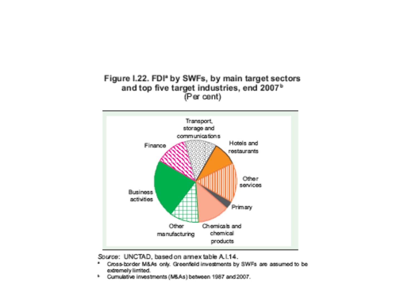#### Figure I.22. FDI<sup>\*</sup> by SWFs, by main target sectors and top five target industries, end 2007<sup>b</sup> (Per cent)



Source: UNCTAD, based on annex table A.I.14.

- a. Cross-border M&As only. Greenfield investments by SWFs are assumed to be cotromoly limited.
- <sup>1</sup> Cumulative investments (MSAs) between 1987 and 2007.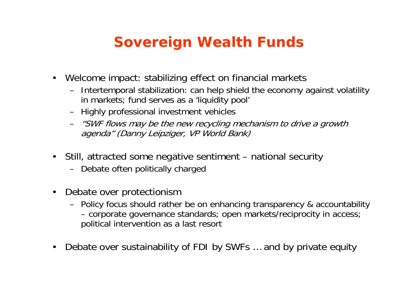### **Sovereign Wealth Funds**

- • Welcome impact: stabilizing effect on financial markets
	- Intertemporal stabilization: can help shield the economy against volatility in markets; fund serves as a 'liquidity pool'
	- Highly professional investment vehicles
	- "SWF flows may be the new recycling mechanism to drive a growth agenda" (Danny Leipziger, VP World Bank)
- • Still, attracted some negative sentiment – national security
	- Debate often politically charged
- $\bullet$  Debate over protectionism
	- Policy focus should rather be on enhancing transparency & accountability corporate governance standards; open markets/reciprocity in access; political intervention as a last resort
- •Debate over sustainability of FDI by SWFs … and by private equity